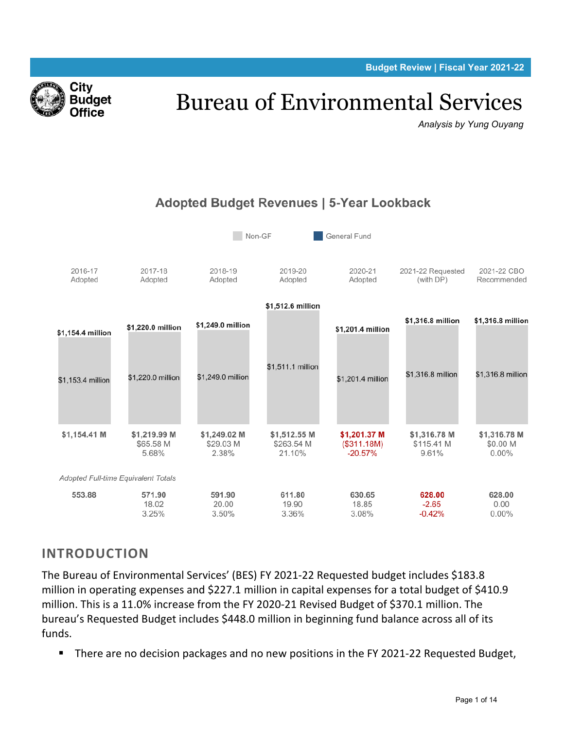**Budget Review | Fiscal Year 2021-22**



# Bureau of Environmental Services

*Analysis by Yung Ouyang*



# Adopted Budget Revenues | 5-Year Lookback

# **INTRODUCTION**

The Bureau of Environmental Services' (BES) FY 2021-22 Requested budget includes \$183.8 million in operating expenses and \$227.1 million in capital expenses for a total budget of \$410.9 million. This is a 11.0% increase from the FY 2020-21 Revised Budget of \$370.1 million. The bureau's Requested Budget includes \$448.0 million in beginning fund balance across all of its funds.

There are no decision packages and no new positions in the FY 2021-22 Requested Budget,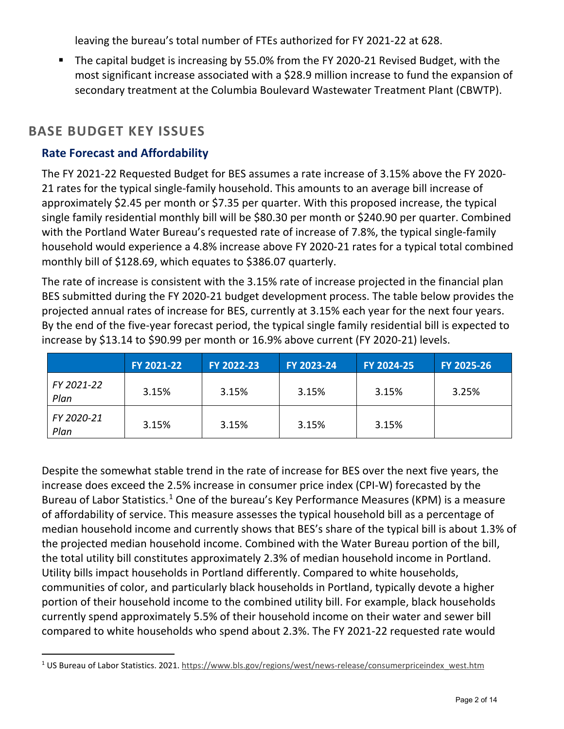leaving the bureau's total number of FTEs authorized for FY 2021-22 at 628.

 The capital budget is increasing by 55.0% from the FY 2020-21 Revised Budget, with the most significant increase associated with a \$28.9 million increase to fund the expansion of secondary treatment at the Columbia Boulevard Wastewater Treatment Plant (CBWTP).

## **BASE BUDGET KEY ISSUES**

#### **Rate Forecast and Affordability**

The FY 2021-22 Requested Budget for BES assumes a rate increase of 3.15% above the FY 2020- 21 rates for the typical single-family household. This amounts to an average bill increase of approximately \$2.45 per month or \$7.35 per quarter. With this proposed increase, the typical single family residential monthly bill will be \$80.30 per month or \$240.90 per quarter. Combined with the Portland Water Bureau's requested rate of increase of 7.8%, the typical single-family household would experience a 4.8% increase above FY 2020-21 rates for a typical total combined monthly bill of \$128.69, which equates to \$386.07 quarterly.

The rate of increase is consistent with the 3.15% rate of increase projected in the financial plan BES submitted during the FY 2020-21 budget development process. The table below provides the projected annual rates of increase for BES, currently at 3.15% each year for the next four years. By the end of the five-year forecast period, the typical single family residential bill is expected to increase by \$13.14 to \$90.99 per month or 16.9% above current (FY 2020-21) levels.

|                    | FY 2021-22 | FY 2022-23 | FY 2023-24 | FY 2024-25 | FY 2025-26 |
|--------------------|------------|------------|------------|------------|------------|
| FY 2021-22<br>Plan | 3.15%      | 3.15%      | 3.15%      | 3.15%      | 3.25%      |
| FY 2020-21<br>Plan | 3.15%      | 3.15%      | 3.15%      | 3.15%      |            |

Despite the somewhat stable trend in the rate of increase for BES over the next five years, the increase does exceed the 2.5% increase in consumer price index (CPI-W) forecasted by the Bureau of Labor Statistics.<sup>[1](#page-1-0)</sup> One of the bureau's Key Performance Measures (KPM) is a measure of affordability of service. This measure assesses the typical household bill as a percentage of median household income and currently shows that BES's share of the typical bill is about 1.3% of the projected median household income. Combined with the Water Bureau portion of the bill, the total utility bill constitutes approximately 2.3% of median household income in Portland. Utility bills impact households in Portland differently. Compared to white households, communities of color, and particularly black households in Portland, typically devote a higher portion of their household income to the combined utility bill. For example, black households currently spend approximately 5.5% of their household income on their water and sewer bill compared to white households who spend about 2.3%. The FY 2021-22 requested rate would

<span id="page-1-0"></span><sup>&</sup>lt;sup>1</sup> US Bureau of Labor Statistics. 2021[. https://www.bls.gov/regions/west/news-release/consumerpriceindex\\_west.htm](https://www.bls.gov/regions/west/news-release/consumerpriceindex_west.htm)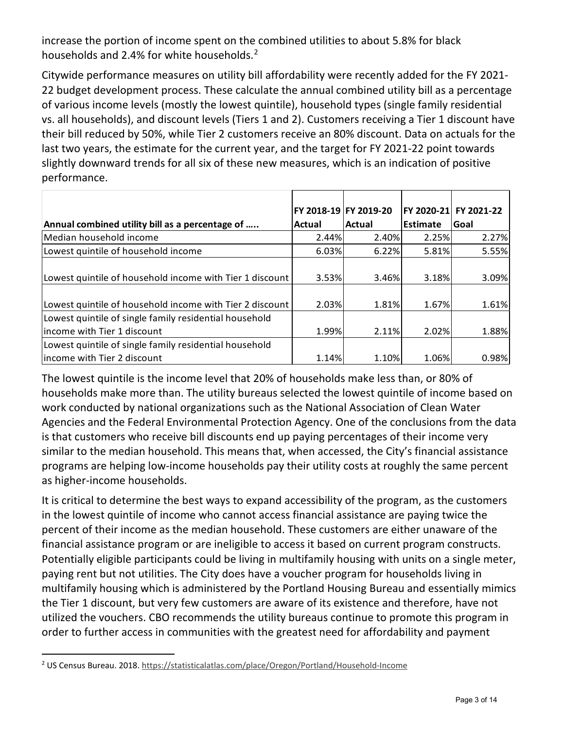increase the portion of income spent on the combined utilities to about 5.8% for black households and [2](#page-2-0).4% for white households.<sup>2</sup>

Citywide performance measures on utility bill affordability were recently added for the FY 2021- 22 budget development process. These calculate the annual combined utility bill as a percentage of various income levels (mostly the lowest quintile), household types (single family residential vs. all households), and discount levels (Tiers 1 and 2). Customers receiving a Tier 1 discount have their bill reduced by 50%, while Tier 2 customers receive an 80% discount. Data on actuals for the last two years, the estimate for the current year, and the target for FY 2021-22 point towards slightly downward trends for all six of these new measures, which is an indication of positive performance.

|                                                          | FY 2018-19 FY 2019-20 |        | FY 2020-21 | FY 2021-22 |
|----------------------------------------------------------|-----------------------|--------|------------|------------|
| Annual combined utility bill as a percentage of          | Actual                | Actual | Estimate   | Goal       |
| Median household income                                  | 2.44%                 | 2.40%  | 2.25%      | 2.27%      |
| Lowest quintile of household income                      | 6.03%                 | 6.22%  | 5.81%      | 5.55%      |
|                                                          |                       |        |            |            |
| Lowest quintile of household income with Tier 1 discount | 3.53%                 | 3.46%  | 3.18%      | 3.09%      |
|                                                          |                       |        |            |            |
| Lowest quintile of household income with Tier 2 discount | 2.03%                 | 1.81%  | 1.67%      | 1.61%      |
| Lowest quintile of single family residential household   |                       |        |            |            |
| lincome with Tier 1 discount                             | 1.99%                 | 2.11%  | 2.02%      | 1.88%      |
| Lowest quintile of single family residential household   |                       |        |            |            |
| income with Tier 2 discount                              | 1.14%                 | 1.10%  | 1.06%      | 0.98%      |

The lowest quintile is the income level that 20% of households make less than, or 80% of households make more than. The utility bureaus selected the lowest quintile of income based on work conducted by national organizations such as the National Association of Clean Water Agencies and the Federal Environmental Protection Agency. One of the conclusions from the data is that customers who receive bill discounts end up paying percentages of their income very similar to the median household. This means that, when accessed, the City's financial assistance programs are helping low-income households pay their utility costs at roughly the same percent as higher-income households.

It is critical to determine the best ways to expand accessibility of the program, as the customers in the lowest quintile of income who cannot access financial assistance are paying twice the percent of their income as the median household. These customers are either unaware of the financial assistance program or are ineligible to access it based on current program constructs. Potentially eligible participants could be living in multifamily housing with units on a single meter, paying rent but not utilities. The City does have a voucher program for households living in multifamily housing which is administered by the Portland Housing Bureau and essentially mimics the Tier 1 discount, but very few customers are aware of its existence and therefore, have not utilized the vouchers. CBO recommends the utility bureaus continue to promote this program in order to further access in communities with the greatest need for affordability and payment

<span id="page-2-0"></span><sup>2</sup> US Census Bureau. 2018.<https://statisticalatlas.com/place/Oregon/Portland/Household-Income>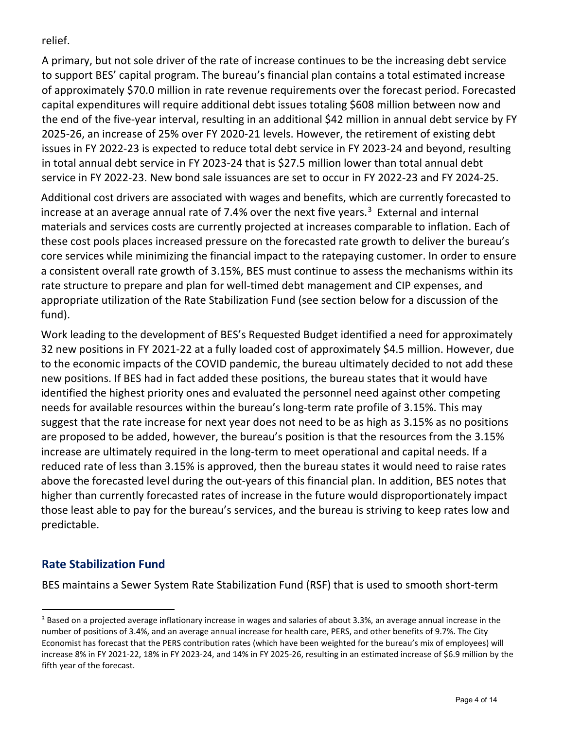relief.

A primary, but not sole driver of the rate of increase continues to be the increasing debt service to support BES' capital program. The bureau's financial plan contains a total estimated increase of approximately \$70.0 million in rate revenue requirements over the forecast period. Forecasted capital expenditures will require additional debt issues totaling \$608 million between now and the end of the five-year interval, resulting in an additional \$42 million in annual debt service by FY 2025-26, an increase of 25% over FY 2020-21 levels. However, the retirement of existing debt issues in FY 2022-23 is expected to reduce total debt service in FY 2023-24 and beyond, resulting in total annual debt service in FY 2023-24 that is \$27.5 million lower than total annual debt service in FY 2022-23. New bond sale issuances are set to occur in FY 2022-23 and FY 2024-25.

Additional cost drivers are associated with wages and benefits, which are currently forecasted to increase at an average annual rate of 7.4% over the next five years.<sup>[3](#page-3-0)</sup> External and internal materials and services costs are currently projected at increases comparable to inflation. Each of these cost pools places increased pressure on the forecasted rate growth to deliver the bureau's core services while minimizing the financial impact to the ratepaying customer. In order to ensure a consistent overall rate growth of 3.15%, BES must continue to assess the mechanisms within its rate structure to prepare and plan for well-timed debt management and CIP expenses, and appropriate utilization of the Rate Stabilization Fund (see section below for a discussion of the fund).

Work leading to the development of BES's Requested Budget identified a need for approximately 32 new positions in FY 2021-22 at a fully loaded cost of approximately \$4.5 million. However, due to the economic impacts of the COVID pandemic, the bureau ultimately decided to not add these new positions. If BES had in fact added these positions, the bureau states that it would have identified the highest priority ones and evaluated the personnel need against other competing needs for available resources within the bureau's long-term rate profile of 3.15%. This may suggest that the rate increase for next year does not need to be as high as 3.15% as no positions are proposed to be added, however, the bureau's position is that the resources from the 3.15% increase are ultimately required in the long-term to meet operational and capital needs. If a reduced rate of less than 3.15% is approved, then the bureau states it would need to raise rates above the forecasted level during the out-years of this financial plan. In addition, BES notes that higher than currently forecasted rates of increase in the future would disproportionately impact those least able to pay for the bureau's services, and the bureau is striving to keep rates low and predictable.

## **Rate Stabilization Fund**

BES maintains a Sewer System Rate Stabilization Fund (RSF) that is used to smooth short-term

<span id="page-3-0"></span> $3$  Based on a projected average inflationary increase in wages and salaries of about 3.3%, an average annual increase in the number of positions of 3.4%, and an average annual increase for health care, PERS, and other benefits of 9.7%. The City Economist has forecast that the PERS contribution rates (which have been weighted for the bureau's mix of employees) will increase 8% in FY 2021-22, 18% in FY 2023-24, and 14% in FY 2025-26, resulting in an estimated increase of \$6.9 million by the fifth year of the forecast.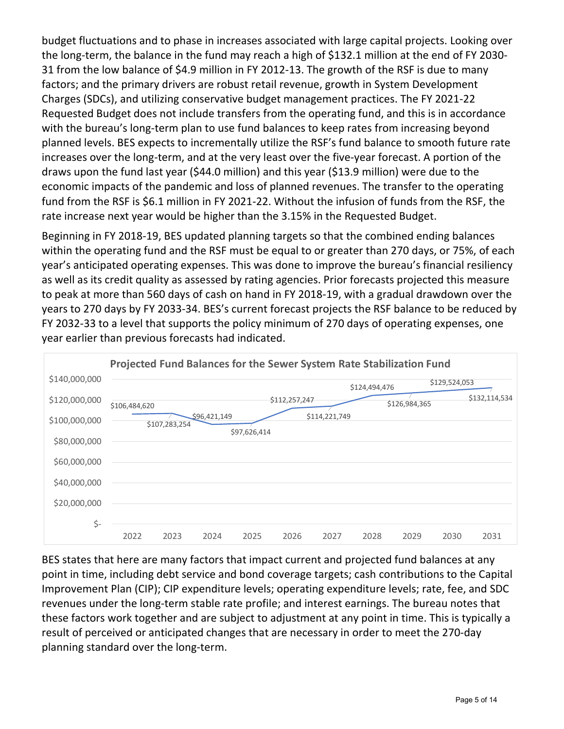budget fluctuations and to phase in increases associated with large capital projects. Looking over the long-term, the balance in the fund may reach a high of \$132.1 million at the end of FY 2030- 31 from the low balance of \$4.9 million in FY 2012-13. The growth of the RSF is due to many factors; and the primary drivers are robust retail revenue, growth in System Development Charges (SDCs), and utilizing conservative budget management practices. The FY 2021-22 Requested Budget does not include transfers from the operating fund, and this is in accordance with the bureau's long-term plan to use fund balances to keep rates from increasing beyond planned levels. BES expects to incrementally utilize the RSF's fund balance to smooth future rate increases over the long-term, and at the very least over the five-year forecast. A portion of the draws upon the fund last year (\$44.0 million) and this year (\$13.9 million) were due to the economic impacts of the pandemic and loss of planned revenues. The transfer to the operating fund from the RSF is \$6.1 million in FY 2021-22. Without the infusion of funds from the RSF, the rate increase next year would be higher than the 3.15% in the Requested Budget.

Beginning in FY 2018-19, BES updated planning targets so that the combined ending balances within the operating fund and the RSF must be equal to or greater than 270 days, or 75%, of each year's anticipated operating expenses. This was done to improve the bureau's financial resiliency as well as its credit quality as assessed by rating agencies. Prior forecasts projected this measure to peak at more than 560 days of cash on hand in FY 2018-19, with a gradual drawdown over the years to 270 days by FY 2033-34. BES's current forecast projects the RSF balance to be reduced by FY 2032-33 to a level that supports the policy minimum of 270 days of operating expenses, one year earlier than previous forecasts had indicated.



BES states that here are many factors that impact current and projected fund balances at any point in time, including debt service and bond coverage targets; cash contributions to the Capital Improvement Plan (CIP); CIP expenditure levels; operating expenditure levels; rate, fee, and SDC revenues under the long-term stable rate profile; and interest earnings. The bureau notes that these factors work together and are subject to adjustment at any point in time. This is typically a result of perceived or anticipated changes that are necessary in order to meet the 270-day planning standard over the long-term.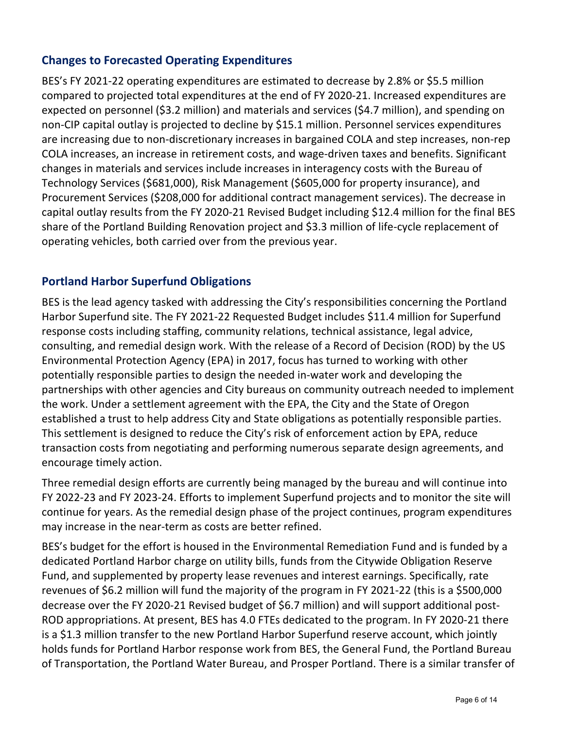## **Changes to Forecasted Operating Expenditures**

BES's FY 2021-22 operating expenditures are estimated to decrease by 2.8% or \$5.5 million compared to projected total expenditures at the end of FY 2020-21. Increased expenditures are expected on personnel (\$3.2 million) and materials and services (\$4.7 million), and spending on non-CIP capital outlay is projected to decline by \$15.1 million. Personnel services expenditures are increasing due to non-discretionary increases in bargained COLA and step increases, non-rep COLA increases, an increase in retirement costs, and wage-driven taxes and benefits. Significant changes in materials and services include increases in interagency costs with the Bureau of Technology Services (\$681,000), Risk Management (\$605,000 for property insurance), and Procurement Services (\$208,000 for additional contract management services). The decrease in capital outlay results from the FY 2020-21 Revised Budget including \$12.4 million for the final BES share of the Portland Building Renovation project and \$3.3 million of life-cycle replacement of operating vehicles, both carried over from the previous year.

#### **Portland Harbor Superfund Obligations**

BES is the lead agency tasked with addressing the City's responsibilities concerning the Portland Harbor Superfund site. The FY 2021-22 Requested Budget includes \$11.4 million for Superfund response costs including staffing, community relations, technical assistance, legal advice, consulting, and remedial design work. With the release of a Record of Decision (ROD) by the US Environmental Protection Agency (EPA) in 2017, focus has turned to working with other potentially responsible parties to design the needed in-water work and developing the partnerships with other agencies and City bureaus on community outreach needed to implement the work. Under a settlement agreement with the EPA, the City and the State of Oregon established a trust to help address City and State obligations as potentially responsible parties. This settlement is designed to reduce the City's risk of enforcement action by EPA, reduce transaction costs from negotiating and performing numerous separate design agreements, and encourage timely action.

Three remedial design efforts are currently being managed by the bureau and will continue into FY 2022-23 and FY 2023-24. Efforts to implement Superfund projects and to monitor the site will continue for years. As the remedial design phase of the project continues, program expenditures may increase in the near-term as costs are better refined.

BES's budget for the effort is housed in the Environmental Remediation Fund and is funded by a dedicated Portland Harbor charge on utility bills, funds from the Citywide Obligation Reserve Fund, and supplemented by property lease revenues and interest earnings. Specifically, rate revenues of \$6.2 million will fund the majority of the program in FY 2021-22 (this is a \$500,000 decrease over the FY 2020-21 Revised budget of \$6.7 million) and will support additional post-ROD appropriations. At present, BES has 4.0 FTEs dedicated to the program. In FY 2020-21 there is a \$1.3 million transfer to the new Portland Harbor Superfund reserve account, which jointly holds funds for Portland Harbor response work from BES, the General Fund, the Portland Bureau of Transportation, the Portland Water Bureau, and Prosper Portland. There is a similar transfer of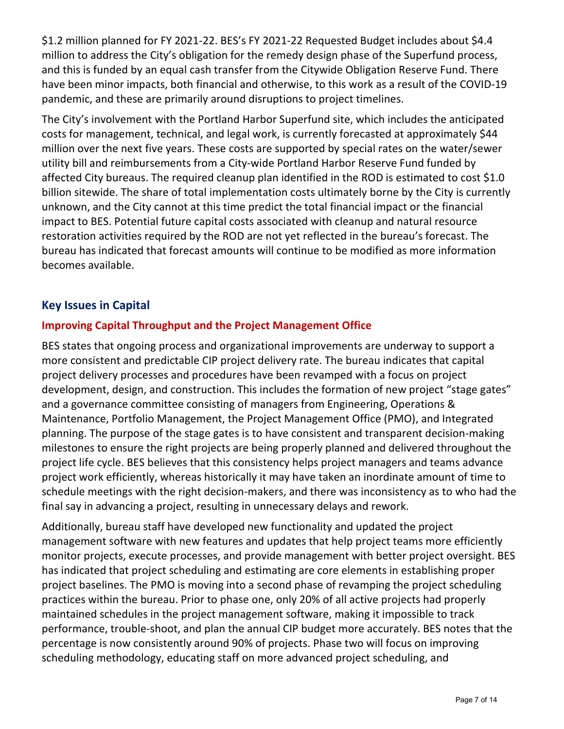\$1.2 million planned for FY 2021-22. BES's FY 2021-22 Requested Budget includes about \$4.4 million to address the City's obligation for the remedy design phase of the Superfund process, and this is funded by an equal cash transfer from the Citywide Obligation Reserve Fund. There have been minor impacts, both financial and otherwise, to this work as a result of the COVID-19 pandemic, and these are primarily around disruptions to project timelines.

The City's involvement with the Portland Harbor Superfund site, which includes the anticipated costs for management, technical, and legal work, is currently forecasted at approximately \$44 million over the next five years. These costs are supported by special rates on the water/sewer utility bill and reimbursements from a City-wide Portland Harbor Reserve Fund funded by affected City bureaus. The required cleanup plan identified in the ROD is estimated to cost \$1.0 billion sitewide. The share of total implementation costs ultimately borne by the City is currently unknown, and the City cannot at this time predict the total financial impact or the financial impact to BES. Potential future capital costs associated with cleanup and natural resource restoration activities required by the ROD are not yet reflected in the bureau's forecast. The bureau has indicated that forecast amounts will continue to be modified as more information becomes available.

## **Key Issues in Capital**

#### **Improving Capital Throughput and the Project Management Office**

BES states that ongoing process and organizational improvements are underway to support a more consistent and predictable CIP project delivery rate. The bureau indicates that capital project delivery processes and procedures have been revamped with a focus on project development, design, and construction. This includes the formation of new project "stage gates" and a governance committee consisting of managers from Engineering, Operations & Maintenance, Portfolio Management, the Project Management Office (PMO), and Integrated planning. The purpose of the stage gates is to have consistent and transparent decision-making milestones to ensure the right projects are being properly planned and delivered throughout the project life cycle. BES believes that this consistency helps project managers and teams advance project work efficiently, whereas historically it may have taken an inordinate amount of time to schedule meetings with the right decision-makers, and there was inconsistency as to who had the final say in advancing a project, resulting in unnecessary delays and rework.

Additionally, bureau staff have developed new functionality and updated the project management software with new features and updates that help project teams more efficiently monitor projects, execute processes, and provide management with better project oversight. BES has indicated that project scheduling and estimating are core elements in establishing proper project baselines. The PMO is moving into a second phase of revamping the project scheduling practices within the bureau. Prior to phase one, only 20% of all active projects had properly maintained schedules in the project management software, making it impossible to track performance, trouble-shoot, and plan the annual CIP budget more accurately. BES notes that the percentage is now consistently around 90% of projects. Phase two will focus on improving scheduling methodology, educating staff on more advanced project scheduling, and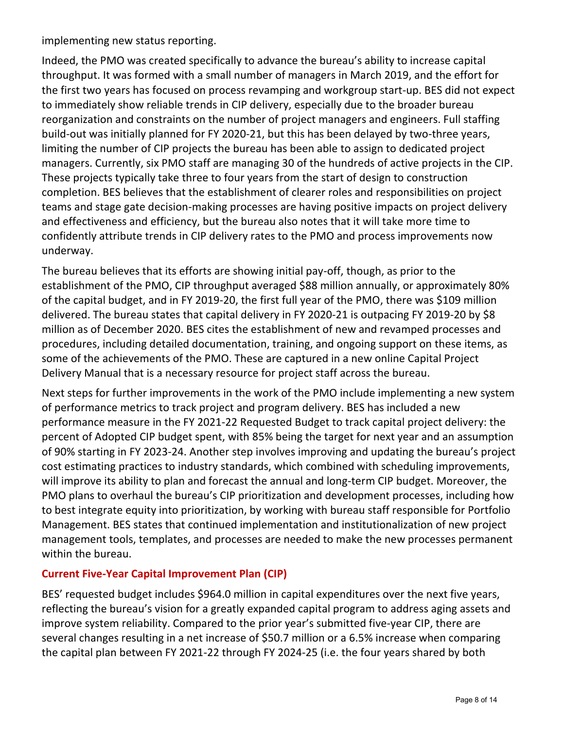implementing new status reporting.

Indeed, the PMO was created specifically to advance the bureau's ability to increase capital throughput. It was formed with a small number of managers in March 2019, and the effort for the first two years has focused on process revamping and workgroup start-up. BES did not expect to immediately show reliable trends in CIP delivery, especially due to the broader bureau reorganization and constraints on the number of project managers and engineers. Full staffing build-out was initially planned for FY 2020-21, but this has been delayed by two-three years, limiting the number of CIP projects the bureau has been able to assign to dedicated project managers. Currently, six PMO staff are managing 30 of the hundreds of active projects in the CIP. These projects typically take three to four years from the start of design to construction completion. BES believes that the establishment of clearer roles and responsibilities on project teams and stage gate decision-making processes are having positive impacts on project delivery and effectiveness and efficiency, but the bureau also notes that it will take more time to confidently attribute trends in CIP delivery rates to the PMO and process improvements now underway.

The bureau believes that its efforts are showing initial pay-off, though, as prior to the establishment of the PMO, CIP throughput averaged \$88 million annually, or approximately 80% of the capital budget, and in FY 2019-20, the first full year of the PMO, there was \$109 million delivered. The bureau states that capital delivery in FY 2020-21 is outpacing FY 2019-20 by \$8 million as of December 2020. BES cites the establishment of new and revamped processes and procedures, including detailed documentation, training, and ongoing support on these items, as some of the achievements of the PMO. These are captured in a new online Capital Project Delivery Manual that is a necessary resource for project staff across the bureau.

Next steps for further improvements in the work of the PMO include implementing a new system of performance metrics to track project and program delivery. BES has included a new performance measure in the FY 2021-22 Requested Budget to track capital project delivery: the percent of Adopted CIP budget spent, with 85% being the target for next year and an assumption of 90% starting in FY 2023-24. Another step involves improving and updating the bureau's project cost estimating practices to industry standards, which combined with scheduling improvements, will improve its ability to plan and forecast the annual and long-term CIP budget. Moreover, the PMO plans to overhaul the bureau's CIP prioritization and development processes, including how to best integrate equity into prioritization, by working with bureau staff responsible for Portfolio Management. BES states that continued implementation and institutionalization of new project management tools, templates, and processes are needed to make the new processes permanent within the bureau.

#### **Current Five-Year Capital Improvement Plan (CIP)**

BES' requested budget includes \$964.0 million in capital expenditures over the next five years, reflecting the bureau's vision for a greatly expanded capital program to address aging assets and improve system reliability. Compared to the prior year's submitted five-year CIP, there are several changes resulting in a net increase of \$50.7 million or a 6.5% increase when comparing the capital plan between FY 2021-22 through FY 2024-25 (i.e. the four years shared by both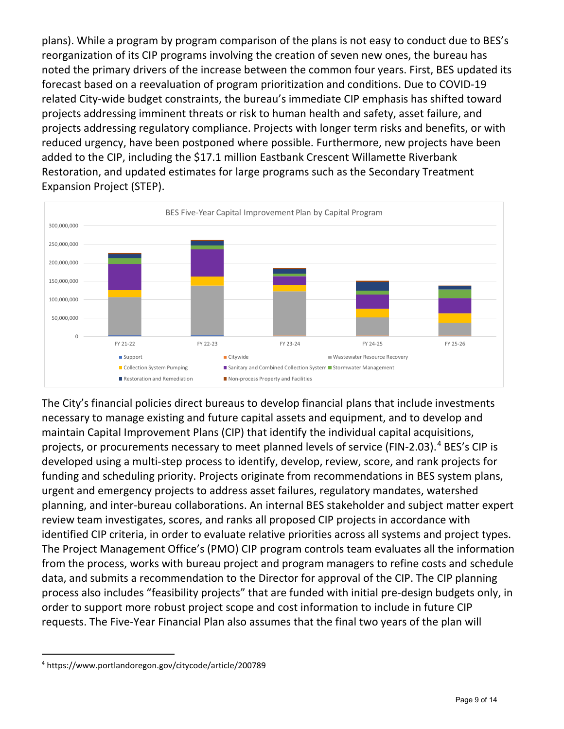plans). While a program by program comparison of the plans is not easy to conduct due to BES's reorganization of its CIP programs involving the creation of seven new ones, the bureau has noted the primary drivers of the increase between the common four years. First, BES updated its forecast based on a reevaluation of program prioritization and conditions. Due to COVID-19 related City-wide budget constraints, the bureau's immediate CIP emphasis has shifted toward projects addressing imminent threats or risk to human health and safety, asset failure, and projects addressing regulatory compliance. Projects with longer term risks and benefits, or with reduced urgency, have been postponed where possible. Furthermore, new projects have been added to the CIP, including the \$17.1 million Eastbank Crescent Willamette Riverbank Restoration, and updated estimates for large programs such as the Secondary Treatment Expansion Project (STEP).



The City's financial policies direct bureaus to develop financial plans that include investments necessary to manage existing and future capital assets and equipment, and to develop and maintain Capital Improvement Plans (CIP) that identify the individual capital acquisitions, projects, or procurements necessary to meet planned levels of service (FIN-2.03).<sup>[4](#page-8-0)</sup> BES's CIP is developed using a multi-step process to identify, develop, review, score, and rank projects for funding and scheduling priority. Projects originate from recommendations in BES system plans, urgent and emergency projects to address asset failures, regulatory mandates, watershed planning, and inter-bureau collaborations. An internal BES stakeholder and subject matter expert review team investigates, scores, and ranks all proposed CIP projects in accordance with identified CIP criteria, in order to evaluate relative priorities across all systems and project types. The Project Management Office's (PMO) CIP program controls team evaluates all the information from the process, works with bureau project and program managers to refine costs and schedule data, and submits a recommendation to the Director for approval of the CIP. The CIP planning process also includes "feasibility projects" that are funded with initial pre-design budgets only, in order to support more robust project scope and cost information to include in future CIP requests. The Five-Year Financial Plan also assumes that the final two years of the plan will

<span id="page-8-0"></span><sup>4</sup> https://www.portlandoregon.gov/citycode/article/200789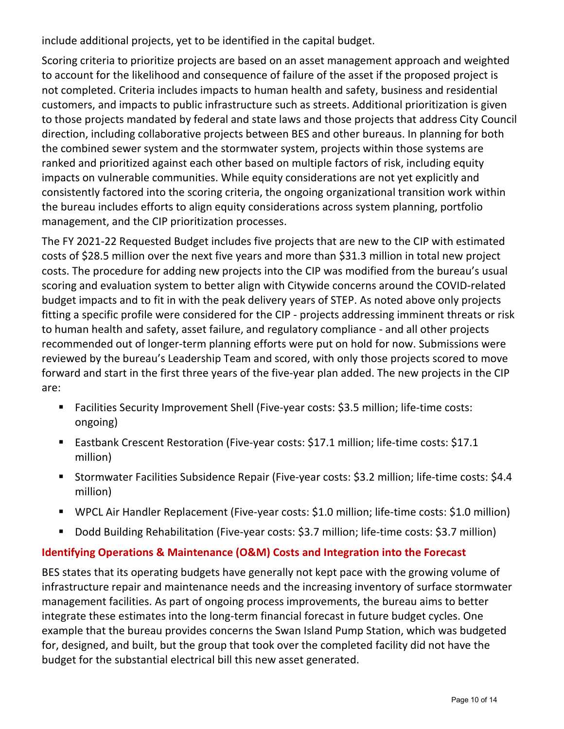include additional projects, yet to be identified in the capital budget.

Scoring criteria to prioritize projects are based on an asset management approach and weighted to account for the likelihood and consequence of failure of the asset if the proposed project is not completed. Criteria includes impacts to human health and safety, business and residential customers, and impacts to public infrastructure such as streets. Additional prioritization is given to those projects mandated by federal and state laws and those projects that address City Council direction, including collaborative projects between BES and other bureaus. In planning for both the combined sewer system and the stormwater system, projects within those systems are ranked and prioritized against each other based on multiple factors of risk, including equity impacts on vulnerable communities. While equity considerations are not yet explicitly and consistently factored into the scoring criteria, the ongoing organizational transition work within the bureau includes efforts to align equity considerations across system planning, portfolio management, and the CIP prioritization processes.

The FY 2021-22 Requested Budget includes five projects that are new to the CIP with estimated costs of \$28.5 million over the next five years and more than \$31.3 million in total new project costs. The procedure for adding new projects into the CIP was modified from the bureau's usual scoring and evaluation system to better align with Citywide concerns around the COVID-related budget impacts and to fit in with the peak delivery years of STEP. As noted above only projects fitting a specific profile were considered for the CIP - projects addressing imminent threats or risk to human health and safety, asset failure, and regulatory compliance - and all other projects recommended out of longer-term planning efforts were put on hold for now. Submissions were reviewed by the bureau's Leadership Team and scored, with only those projects scored to move forward and start in the first three years of the five-year plan added. The new projects in the CIP are:

- Facilities Security Improvement Shell (Five-year costs: \$3.5 million; life-time costs: ongoing)
- Eastbank Crescent Restoration (Five-year costs: \$17.1 million; life-time costs: \$17.1 million)
- Stormwater Facilities Subsidence Repair (Five-year costs: \$3.2 million; life-time costs: \$4.4 million)
- WPCL Air Handler Replacement (Five-year costs: \$1.0 million; life-time costs: \$1.0 million)
- Dodd Building Rehabilitation (Five-year costs: \$3.7 million; life-time costs: \$3.7 million)

#### **Identifying Operations & Maintenance (O&M) Costs and Integration into the Forecast**

BES states that its operating budgets have generally not kept pace with the growing volume of infrastructure repair and maintenance needs and the increasing inventory of surface stormwater management facilities. As part of ongoing process improvements, the bureau aims to better integrate these estimates into the long-term financial forecast in future budget cycles. One example that the bureau provides concerns the Swan Island Pump Station, which was budgeted for, designed, and built, but the group that took over the completed facility did not have the budget for the substantial electrical bill this new asset generated.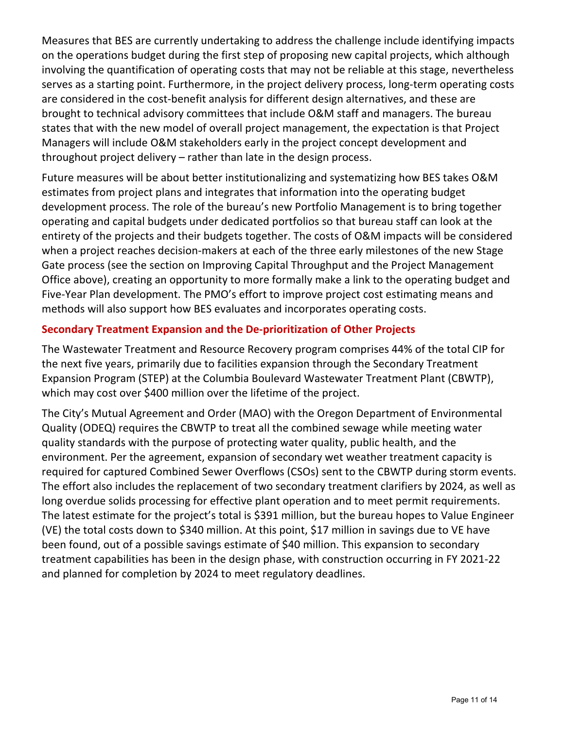Measures that BES are currently undertaking to address the challenge include identifying impacts on the operations budget during the first step of proposing new capital projects, which although involving the quantification of operating costs that may not be reliable at this stage, nevertheless serves as a starting point. Furthermore, in the project delivery process, long-term operating costs are considered in the cost-benefit analysis for different design alternatives, and these are brought to technical advisory committees that include O&M staff and managers. The bureau states that with the new model of overall project management, the expectation is that Project Managers will include O&M stakeholders early in the project concept development and throughout project delivery – rather than late in the design process.

Future measures will be about better institutionalizing and systematizing how BES takes O&M estimates from project plans and integrates that information into the operating budget development process. The role of the bureau's new Portfolio Management is to bring together operating and capital budgets under dedicated portfolios so that bureau staff can look at the entirety of the projects and their budgets together. The costs of O&M impacts will be considered when a project reaches decision-makers at each of the three early milestones of the new Stage Gate process (see the section on Improving Capital Throughput and the Project Management Office above), creating an opportunity to more formally make a link to the operating budget and Five-Year Plan development. The PMO's effort to improve project cost estimating means and methods will also support how BES evaluates and incorporates operating costs.

#### **Secondary Treatment Expansion and the De-prioritization of Other Projects**

The Wastewater Treatment and Resource Recovery program comprises 44% of the total CIP for the next five years, primarily due to facilities expansion through the Secondary Treatment Expansion Program (STEP) at the Columbia Boulevard Wastewater Treatment Plant (CBWTP), which may cost over \$400 million over the lifetime of the project.

The City's Mutual Agreement and Order (MAO) with the Oregon Department of Environmental Quality (ODEQ) requires the CBWTP to treat all the combined sewage while meeting water quality standards with the purpose of protecting water quality, public health, and the environment. Per the agreement, expansion of secondary wet weather treatment capacity is required for captured Combined Sewer Overflows (CSOs) sent to the CBWTP during storm events. The effort also includes the replacement of two secondary treatment clarifiers by 2024, as well as long overdue solids processing for effective plant operation and to meet permit requirements. The latest estimate for the project's total is \$391 million, but the bureau hopes to Value Engineer (VE) the total costs down to \$340 million. At this point, \$17 million in savings due to VE have been found, out of a possible savings estimate of \$40 million. This expansion to secondary treatment capabilities has been in the design phase, with construction occurring in FY 2021-22 and planned for completion by 2024 to meet regulatory deadlines.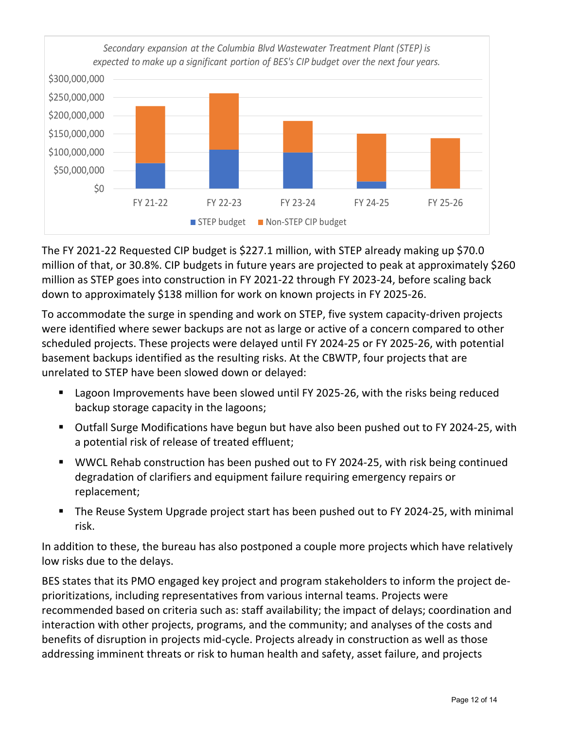

The FY 2021-22 Requested CIP budget is \$227.1 million, with STEP already making up \$70.0 million of that, or 30.8%. CIP budgets in future years are projected to peak at approximately \$260 million as STEP goes into construction in FY 2021-22 through FY 2023-24, before scaling back down to approximately \$138 million for work on known projects in FY 2025-26.

To accommodate the surge in spending and work on STEP, five system capacity-driven projects were identified where sewer backups are not as large or active of a concern compared to other scheduled projects. These projects were delayed until FY 2024-25 or FY 2025-26, with potential basement backups identified as the resulting risks. At the CBWTP, four projects that are unrelated to STEP have been slowed down or delayed:

- Lagoon Improvements have been slowed until FY 2025-26, with the risks being reduced backup storage capacity in the lagoons;
- Outfall Surge Modifications have begun but have also been pushed out to FY 2024-25, with a potential risk of release of treated effluent;
- WWCL Rehab construction has been pushed out to FY 2024-25, with risk being continued degradation of clarifiers and equipment failure requiring emergency repairs or replacement;
- The Reuse System Upgrade project start has been pushed out to FY 2024-25, with minimal risk.

In addition to these, the bureau has also postponed a couple more projects which have relatively low risks due to the delays.

BES states that its PMO engaged key project and program stakeholders to inform the project deprioritizations, including representatives from various internal teams. Projects were recommended based on criteria such as: staff availability; the impact of delays; coordination and interaction with other projects, programs, and the community; and analyses of the costs and benefits of disruption in projects mid-cycle. Projects already in construction as well as those addressing imminent threats or risk to human health and safety, asset failure, and projects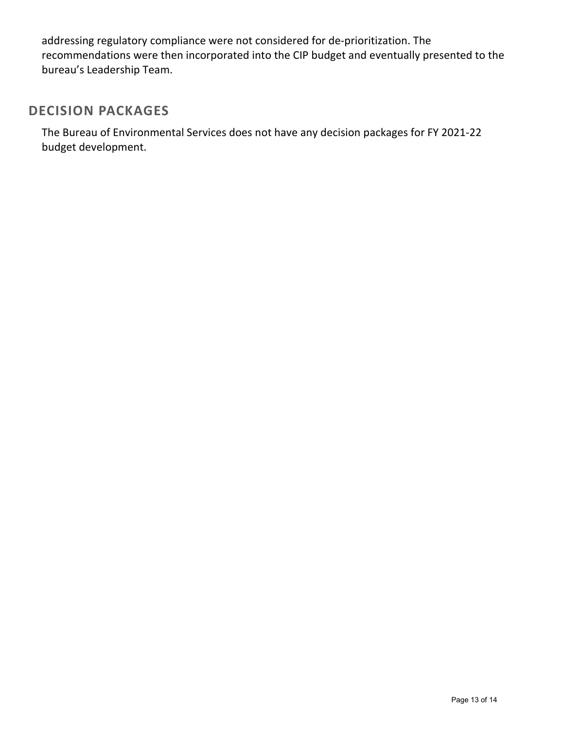addressing regulatory compliance were not considered for de-prioritization. The recommendations were then incorporated into the CIP budget and eventually presented to the bureau's Leadership Team.

## **DECISION PACKAGES**

The Bureau of Environmental Services does not have any decision packages for FY 2021-22 budget development.